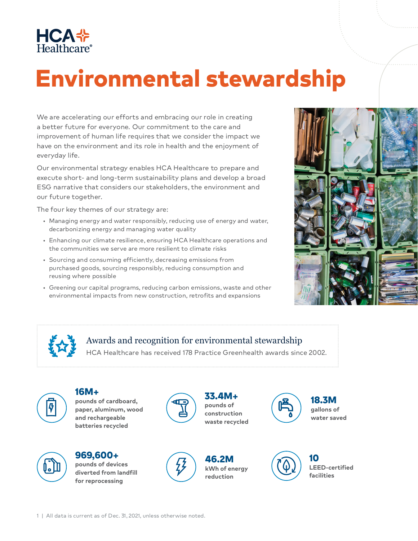

## Environmental stewardship

We are accelerating our efforts and embracing our role in creating a better future for everyone. Our commitment to the care and improvement of human life requires that we consider the impact we have on the environment and its role in health and the enjoyment of everyday life.

Our environmental strategy enables HCA Healthcare to prepare and execute short- and long-term sustainability plans and develop a broad ESG narrative that considers our stakeholders, the environment and our future together.

The four key themes of our strategy are:

- Managing energy and water responsibly, reducing use of energy and water, decarbonizing energy and managing water quality
- Enhancing our climate resilience, ensuring HCA Healthcare operations and the communities we serve are more resilient to climate risks
- Sourcing and consuming efficiently, decreasing emissions from purchased goods, sourcing responsibly, reducing consumption and reusing where possible
- Greening our capital programs, reducing carbon emissions, waste and other environmental impacts from new construction, retrofits and expansions





## Awards and recognition for environmental stewardship

HCA Healthcare has received 178 Practice Greenhealth awards since 2002.



16M+ **pounds of cardboard, paper, aluminum, wood and rechargeable batteries recycled**



969,600+ **pounds of devices diverted from landfill for reprocessing** 



33.4M+ **pounds of construction waste recycled**

46.2M **kWh of energy reduction**





**LEED-certified facilities**

18.3M **gallons of water saved**